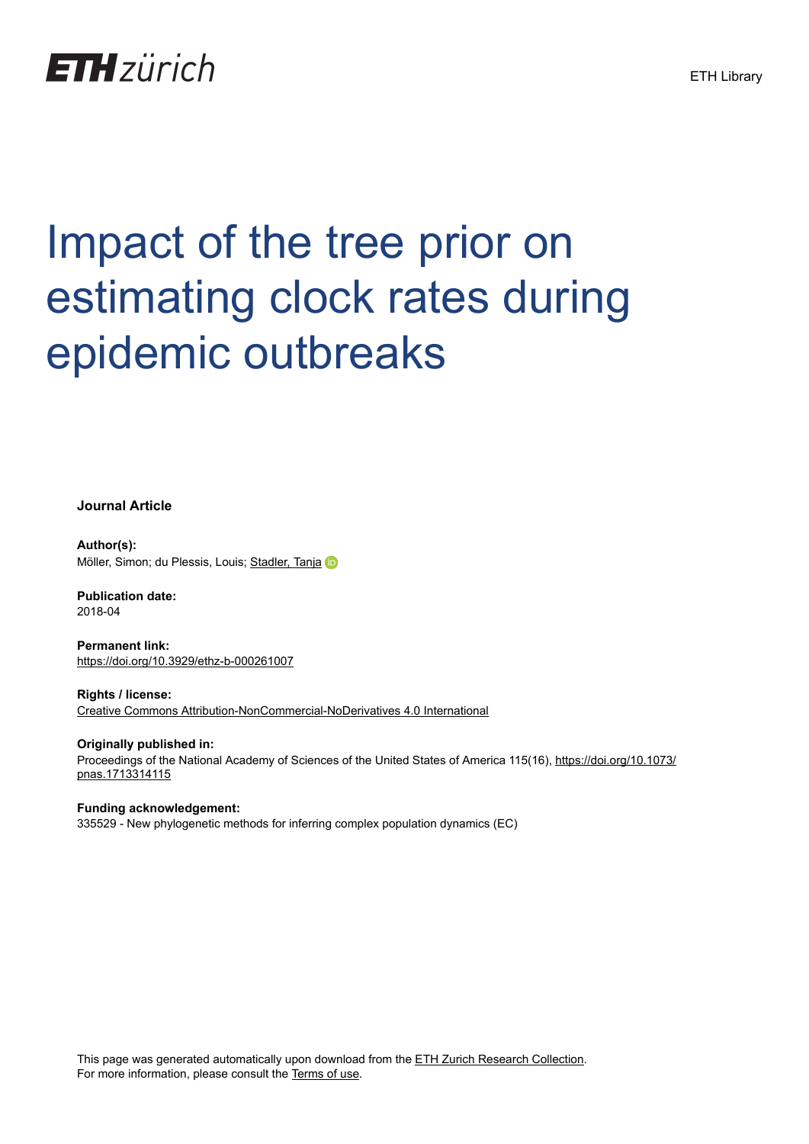

# Impact of the tree prior on estimating clock rates during epidemic outbreaks

### **Journal Article**

**Author(s):** Möller, Simon; du Plessis, Louis; [Stadler, Tanja](https://orcid.org/0000-0001-6431-535X)

**Publication date:** 2018-04

**Permanent link:** <https://doi.org/10.3929/ethz-b-000261007>

**Rights / license:** [Creative Commons Attribution-NonCommercial-NoDerivatives 4.0 International](http://creativecommons.org/licenses/by-nc-nd/4.0/)

**Originally published in:** Proceedings of the National Academy of Sciences of the United States of America 115(16), [https://doi.org/10.1073/](https://doi.org/10.1073/pnas.1713314115) [pnas.1713314115](https://doi.org/10.1073/pnas.1713314115)

**Funding acknowledgement:** 335529 - New phylogenetic methods for inferring complex population dynamics (EC)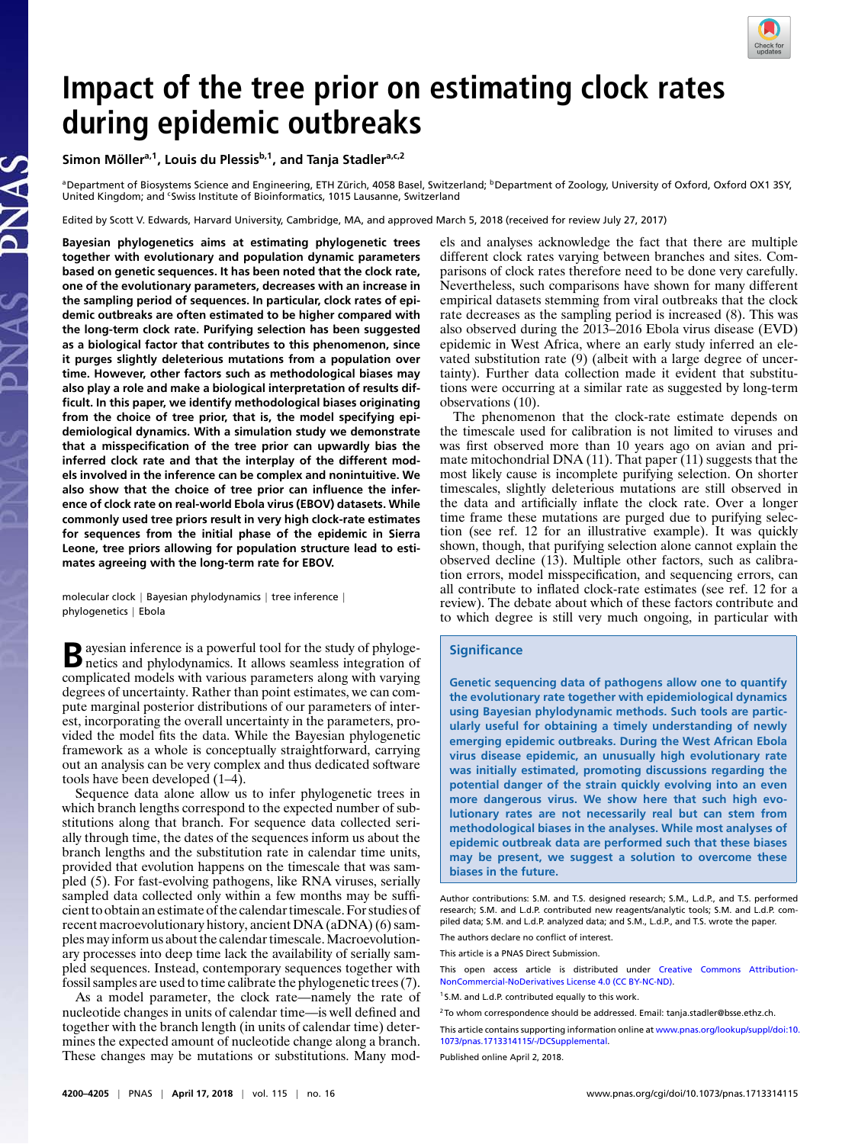

## **Impact of the tree prior on estimating clock rates during epidemic outbreaks**

**Simon Moller ¨ a,1, Louis du Plessisb,1, and Tanja Stadlera,c,2**

ªDepartment of Biosystems Science and Engineering, ETH Zürich, 4058 Basel, Switzerland; <sup>b</sup>Department of Zoology, University of Oxford, Oxford OX1 3SY, United Kingdom; and 'Swiss Institute of Bioinformatics, 1015 Lausanne, Switzerland

Edited by Scott V. Edwards, Harvard University, Cambridge, MA, and approved March 5, 2018 (received for review July 27, 2017)

**Bayesian phylogenetics aims at estimating phylogenetic trees together with evolutionary and population dynamic parameters based on genetic sequences. It has been noted that the clock rate, one of the evolutionary parameters, decreases with an increase in the sampling period of sequences. In particular, clock rates of epidemic outbreaks are often estimated to be higher compared with the long-term clock rate. Purifying selection has been suggested as a biological factor that contributes to this phenomenon, since it purges slightly deleterious mutations from a population over time. However, other factors such as methodological biases may also play a role and make a biological interpretation of results difficult. In this paper, we identify methodological biases originating from the choice of tree prior, that is, the model specifying epidemiological dynamics. With a simulation study we demonstrate that a misspecification of the tree prior can upwardly bias the inferred clock rate and that the interplay of the different models involved in the inference can be complex and nonintuitive. We also show that the choice of tree prior can influence the inference of clock rate on real-world Ebola virus (EBOV) datasets. While commonly used tree priors result in very high clock-rate estimates for sequences from the initial phase of the epidemic in Sierra Leone, tree priors allowing for population structure lead to estimates agreeing with the long-term rate for EBOV.**

molecular clock | Bayesian phylodynamics | tree inference | phylogenetics | Ebola

**B** ayesian inference is a powerful tool for the study of phylogenetics and phylodynamics. It allows seamless integration of netics and phylodynamics. It allows seamless integration of complicated models with various parameters along with varying degrees of uncertainty. Rather than point estimates, we can compute marginal posterior distributions of our parameters of interest, incorporating the overall uncertainty in the parameters, provided the model fits the data. While the Bayesian phylogenetic framework as a whole is conceptually straightforward, carrying out an analysis can be very complex and thus dedicated software tools have been developed (1–4).

Sequence data alone allow us to infer phylogenetic trees in which branch lengths correspond to the expected number of substitutions along that branch. For sequence data collected serially through time, the dates of the sequences inform us about the branch lengths and the substitution rate in calendar time units, provided that evolution happens on the timescale that was sampled (5). For fast-evolving pathogens, like RNA viruses, serially sampled data collected only within a few months may be sufficient to obtain an estimate of the calendar timescale. For studies of recent macroevolutionary history, ancient DNA (aDNA) (6) samples may inform us about the calendar timescale.Macroevolutionary processes into deep time lack the availability of serially sampled sequences. Instead, contemporary sequences together with fossil samples are used to time calibrate the phylogenetic trees (7).

As a model parameter, the clock rate—namely the rate of nucleotide changes in units of calendar time—is well defined and together with the branch length (in units of calendar time) determines the expected amount of nucleotide change along a branch. These changes may be mutations or substitutions. Many models and analyses acknowledge the fact that there are multiple different clock rates varying between branches and sites. Comparisons of clock rates therefore need to be done very carefully. Nevertheless, such comparisons have shown for many different empirical datasets stemming from viral outbreaks that the clock rate decreases as the sampling period is increased (8). This was also observed during the 2013–2016 Ebola virus disease (EVD) epidemic in West Africa, where an early study inferred an elevated substitution rate (9) (albeit with a large degree of uncertainty). Further data collection made it evident that substitutions were occurring at a similar rate as suggested by long-term observations (10).

The phenomenon that the clock-rate estimate depends on the timescale used for calibration is not limited to viruses and was first observed more than 10 years ago on avian and primate mitochondrial DNA (11). That paper (11) suggests that the most likely cause is incomplete purifying selection. On shorter timescales, slightly deleterious mutations are still observed in the data and artificially inflate the clock rate. Over a longer time frame these mutations are purged due to purifying selection (see ref. 12 for an illustrative example). It was quickly shown, though, that purifying selection alone cannot explain the observed decline (13). Multiple other factors, such as calibration errors, model misspecification, and sequencing errors, can all contribute to inflated clock-rate estimates (see ref. 12 for a review). The debate about which of these factors contribute and to which degree is still very much ongoing, in particular with

#### **Significance**

**Genetic sequencing data of pathogens allow one to quantify the evolutionary rate together with epidemiological dynamics using Bayesian phylodynamic methods. Such tools are particularly useful for obtaining a timely understanding of newly emerging epidemic outbreaks. During the West African Ebola virus disease epidemic, an unusually high evolutionary rate was initially estimated, promoting discussions regarding the potential danger of the strain quickly evolving into an even more dangerous virus. We show here that such high evolutionary rates are not necessarily real but can stem from methodological biases in the analyses. While most analyses of epidemic outbreak data are performed such that these biases may be present, we suggest a solution to overcome these biases in the future.**

Author contributions: S.M. and T.S. designed research; S.M., L.d.P., and T.S. performed research; S.M. and L.d.P. contributed new reagents/analytic tools; S.M. and L.d.P. compiled data; S.M. and L.d.P. analyzed data; and S.M., L.d.P., and T.S. wrote the paper.

The authors declare no conflict of interest.

This article is a PNAS Direct Submission.

This open access article is distributed under [Creative Commons Attribution-](https://creativecommons.org/licenses/by-nc-nd/4.0/)[NonCommercial-NoDerivatives License 4.0 \(CC BY-NC-ND\).](https://creativecommons.org/licenses/by-nc-nd/4.0/)

<sup>1</sup> S.M. and L.d.P. contributed equally to this work.

<sup>2</sup> To whom correspondence should be addressed. Email: [tanja.stadler@bsse.ethz.ch.](mailto:tanja.stadler@bsse.ethz.ch)

This article contains supporting information online at [www.pnas.org/lookup/suppl/doi:10.](http://www.pnas.org/lookup/suppl/doi:10.1073/pnas.1713314115/-/DCSupplemental) [1073/pnas.1713314115/-/DCSupplemental.](http://www.pnas.org/lookup/suppl/doi:10.1073/pnas.1713314115/-/DCSupplemental)

Published online April 2, 2018.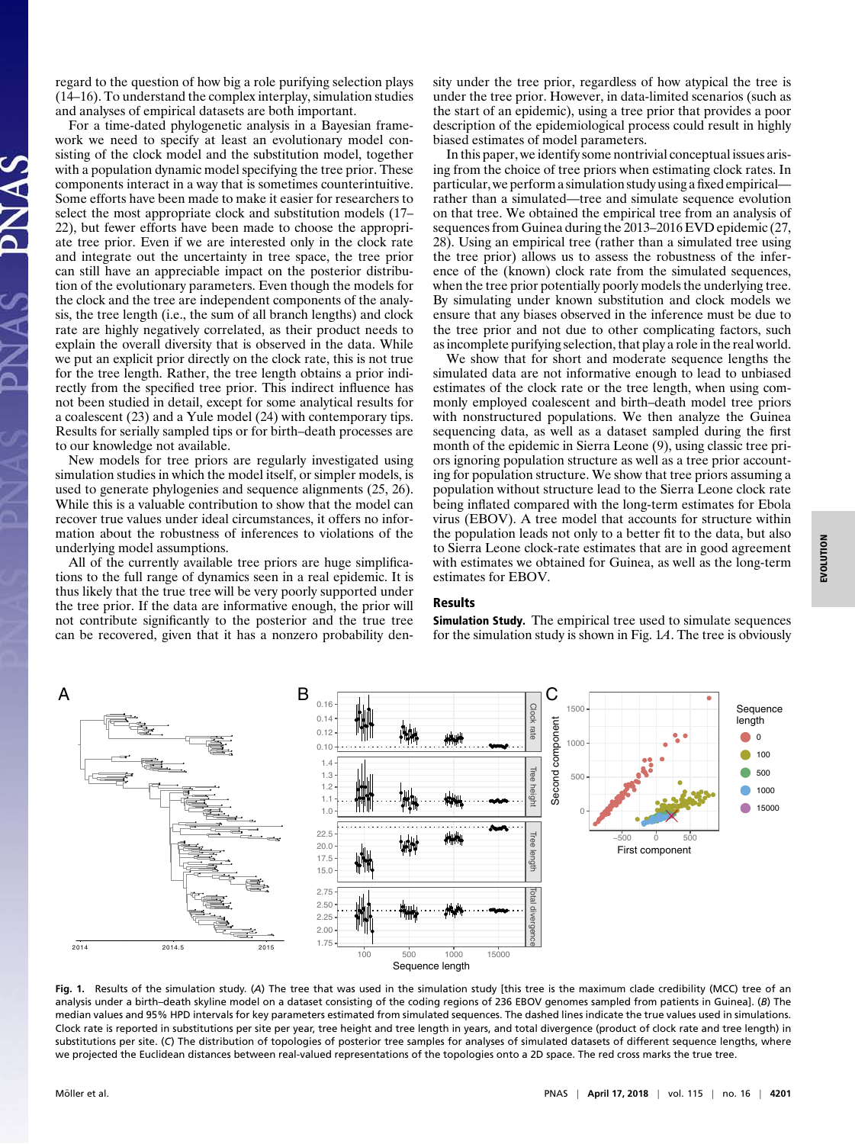regard to the question of how big a role purifying selection plays (14–16). To understand the complex interplay, simulation studies and analyses of empirical datasets are both important.

For a time-dated phylogenetic analysis in a Bayesian framework we need to specify at least an evolutionary model consisting of the clock model and the substitution model, together with a population dynamic model specifying the tree prior. These components interact in a way that is sometimes counterintuitive. Some efforts have been made to make it easier for researchers to select the most appropriate clock and substitution models (17– 22), but fewer efforts have been made to choose the appropriate tree prior. Even if we are interested only in the clock rate and integrate out the uncertainty in tree space, the tree prior can still have an appreciable impact on the posterior distribution of the evolutionary parameters. Even though the models for the clock and the tree are independent components of the analysis, the tree length (i.e., the sum of all branch lengths) and clock rate are highly negatively correlated, as their product needs to explain the overall diversity that is observed in the data. While we put an explicit prior directly on the clock rate, this is not true for the tree length. Rather, the tree length obtains a prior indirectly from the specified tree prior. This indirect influence has not been studied in detail, except for some analytical results for a coalescent (23) and a Yule model (24) with contemporary tips. Results for serially sampled tips or for birth–death processes are to our knowledge not available.

New models for tree priors are regularly investigated using simulation studies in which the model itself, or simpler models, is used to generate phylogenies and sequence alignments (25, 26). While this is a valuable contribution to show that the model can recover true values under ideal circumstances, it offers no information about the robustness of inferences to violations of the underlying model assumptions.

All of the currently available tree priors are huge simplifications to the full range of dynamics seen in a real epidemic. It is thus likely that the true tree will be very poorly supported under the tree prior. If the data are informative enough, the prior will not contribute significantly to the posterior and the true tree can be recovered, given that it has a nonzero probability density under the tree prior, regardless of how atypical the tree is under the tree prior. However, in data-limited scenarios (such as the start of an epidemic), using a tree prior that provides a poor description of the epidemiological process could result in highly biased estimates of model parameters.

In this paper, we identify some nontrivial conceptual issues arising from the choice of tree priors when estimating clock rates. In particular, we perform a simulation study using a fixed empirical rather than a simulated—tree and simulate sequence evolution on that tree. We obtained the empirical tree from an analysis of sequences from Guinea during the 2013–2016 EVD epidemic (27, 28). Using an empirical tree (rather than a simulated tree using the tree prior) allows us to assess the robustness of the inference of the (known) clock rate from the simulated sequences, when the tree prior potentially poorly models the underlying tree. By simulating under known substitution and clock models we ensure that any biases observed in the inference must be due to the tree prior and not due to other complicating factors, such as incomplete purifying selection, that play a role in the real world.

We show that for short and moderate sequence lengths the simulated data are not informative enough to lead to unbiased estimates of the clock rate or the tree length, when using commonly employed coalescent and birth–death model tree priors with nonstructured populations. We then analyze the Guinea sequencing data, as well as a dataset sampled during the first month of the epidemic in Sierra Leone (9), using classic tree priors ignoring population structure as well as a tree prior accounting for population structure. We show that tree priors assuming a population without structure lead to the Sierra Leone clock rate being inflated compared with the long-term estimates for Ebola virus (EBOV). A tree model that accounts for structure within the population leads not only to a better fit to the data, but also to Sierra Leone clock-rate estimates that are in good agreement with estimates we obtained for Guinea, as well as the long-term estimates for EBOV.

#### Results

**Simulation Study.** The empirical tree used to simulate sequences for the simulation study is shown in Fig. 1*A*. The tree is obviously



**Fig. 1.** Results of the simulation study. (*A*) The tree that was used in the simulation study [this tree is the maximum clade credibility (MCC) tree of an analysis under a birth–death skyline model on a dataset consisting of the coding regions of 236 EBOV genomes sampled from patients in Guinea]. (*B*) The median values and 95% HPD intervals for key parameters estimated from simulated sequences. The dashed lines indicate the true values used in simulations. Clock rate is reported in substitutions per site per year, tree height and tree length in years, and total divergence (product of clock rate and tree length) in substitutions per site. (*C*) The distribution of topologies of posterior tree samples for analyses of simulated datasets of different sequence lengths, where we projected the Euclidean distances between real-valued representations of the topologies onto a 2D space. The red cross marks the true tree.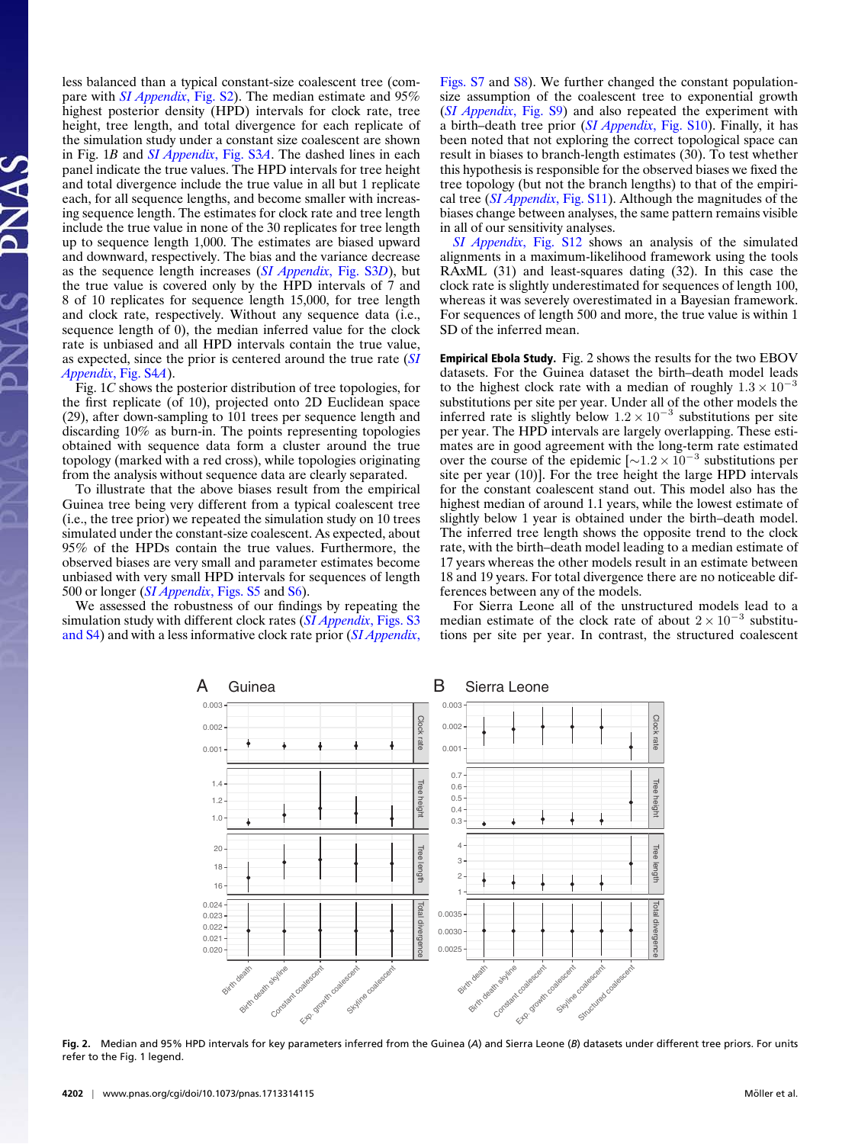less balanced than a typical constant-size coalescent tree (compare with *[SI Appendix](http://www.pnas.org/lookup/suppl/doi:10.1073/pnas.1713314115/-/DCSupplemental)*, Fig. S2). The median estimate and 95% highest posterior density (HPD) intervals for clock rate, tree height, tree length, and total divergence for each replicate of the simulation study under a constant size coalescent are shown in Fig. 1*B* and *[SI Appendix](http://www.pnas.org/lookup/suppl/doi:10.1073/pnas.1713314115/-/DCSupplemental)*, Fig. S3*A*. The dashed lines in each panel indicate the true values. The HPD intervals for tree height and total divergence include the true value in all but 1 replicate each, for all sequence lengths, and become smaller with increasing sequence length. The estimates for clock rate and tree length include the true value in none of the 30 replicates for tree length up to sequence length 1,000. The estimates are biased upward and downward, respectively. The bias and the variance decrease as the sequence length increases (*[SI Appendix](http://www.pnas.org/lookup/suppl/doi:10.1073/pnas.1713314115/-/DCSupplemental)*, Fig. S3*D*), but the true value is covered only by the HPD intervals of 7 and 8 of 10 replicates for sequence length 15,000, for tree length and clock rate, respectively. Without any sequence data (i.e., sequence length of 0), the median inferred value for the clock rate is unbiased and all HPD intervals contain the true value, as expected, since the prior is centered around the true rate (*[SI](http://www.pnas.org/lookup/suppl/doi:10.1073/pnas.1713314115/-/DCSupplemental) [Appendix](http://www.pnas.org/lookup/suppl/doi:10.1073/pnas.1713314115/-/DCSupplemental)*, Fig. S4*A*).

Fig. 1*C* shows the posterior distribution of tree topologies, for the first replicate (of 10), projected onto 2D Euclidean space (29), after down-sampling to 101 trees per sequence length and discarding 10% as burn-in. The points representing topologies obtained with sequence data form a cluster around the true topology (marked with a red cross), while topologies originating from the analysis without sequence data are clearly separated.

To illustrate that the above biases result from the empirical Guinea tree being very different from a typical coalescent tree (i.e., the tree prior) we repeated the simulation study on 10 trees simulated under the constant-size coalescent. As expected, about 95% of the HPDs contain the true values. Furthermore, the observed biases are very small and parameter estimates become unbiased with very small HPD intervals for sequences of length 500 or longer (*[SI Appendix](http://www.pnas.org/lookup/suppl/doi:10.1073/pnas.1713314115/-/DCSupplemental)*, Figs. S5 and [S6\)](http://www.pnas.org/lookup/suppl/doi:10.1073/pnas.1713314115/-/DCSupplemental).

We assessed the robustness of our findings by repeating the simulation study with different clock rates (*[SI Appendix](http://www.pnas.org/lookup/suppl/doi:10.1073/pnas.1713314115/-/DCSupplemental)*, Figs. S3 [and S4\)](http://www.pnas.org/lookup/suppl/doi:10.1073/pnas.1713314115/-/DCSupplemental) and with a less informative clock rate prior (*[SI Appendix](http://www.pnas.org/lookup/suppl/doi:10.1073/pnas.1713314115/-/DCSupplemental)*, [Figs. S7](http://www.pnas.org/lookup/suppl/doi:10.1073/pnas.1713314115/-/DCSupplemental) and [S8\)](http://www.pnas.org/lookup/suppl/doi:10.1073/pnas.1713314115/-/DCSupplemental). We further changed the constant populationsize assumption of the coalescent tree to exponential growth (*[SI Appendix](http://www.pnas.org/lookup/suppl/doi:10.1073/pnas.1713314115/-/DCSupplemental)*, Fig. S9) and also repeated the experiment with a birth–death tree prior (*[SI Appendix](http://www.pnas.org/lookup/suppl/doi:10.1073/pnas.1713314115/-/DCSupplemental)*, Fig. S10). Finally, it has been noted that not exploring the correct topological space can result in biases to branch-length estimates (30). To test whether this hypothesis is responsible for the observed biases we fixed the tree topology (but not the branch lengths) to that of the empirical tree (*[SI Appendix](http://www.pnas.org/lookup/suppl/doi:10.1073/pnas.1713314115/-/DCSupplemental)*, Fig. S11). Although the magnitudes of the biases change between analyses, the same pattern remains visible in all of our sensitivity analyses.

*[SI Appendix](http://www.pnas.org/lookup/suppl/doi:10.1073/pnas.1713314115/-/DCSupplemental)*, Fig. S12 shows an analysis of the simulated alignments in a maximum-likelihood framework using the tools RAxML (31) and least-squares dating (32). In this case the clock rate is slightly underestimated for sequences of length 100, whereas it was severely overestimated in a Bayesian framework. For sequences of length 500 and more, the true value is within 1 SD of the inferred mean.

Empirical Ebola Study. Fig. 2 shows the results for the two EBOV datasets. For the Guinea dataset the birth–death model leads to the highest clock rate with a median of roughly  $1.3 \times 10^{-3}$ substitutions per site per year. Under all of the other models the inferred rate is slightly below  $1.2 \times 10^{-3}$  substitutions per site per year. The HPD intervals are largely overlapping. These estimates are in good agreement with the long-term rate estimated over the course of the epidemic  $[$  ~1.2 × 10<sup>-3</sup> substitutions per site per year (10)]. For the tree height the large HPD intervals for the constant coalescent stand out. This model also has the highest median of around 1.1 years, while the lowest estimate of slightly below 1 year is obtained under the birth–death model. The inferred tree length shows the opposite trend to the clock rate, with the birth–death model leading to a median estimate of 17 years whereas the other models result in an estimate between 18 and 19 years. For total divergence there are no noticeable differences between any of the models.

For Sierra Leone all of the unstructured models lead to a median estimate of the clock rate of about  $2 \times 10^{-3}$  substitutions per site per year. In contrast, the structured coalescent



**Fig. 2.** Median and 95% HPD intervals for key parameters inferred from the Guinea (*A*) and Sierra Leone (*B*) datasets under different tree priors. For units refer to the Fig. 1 legend.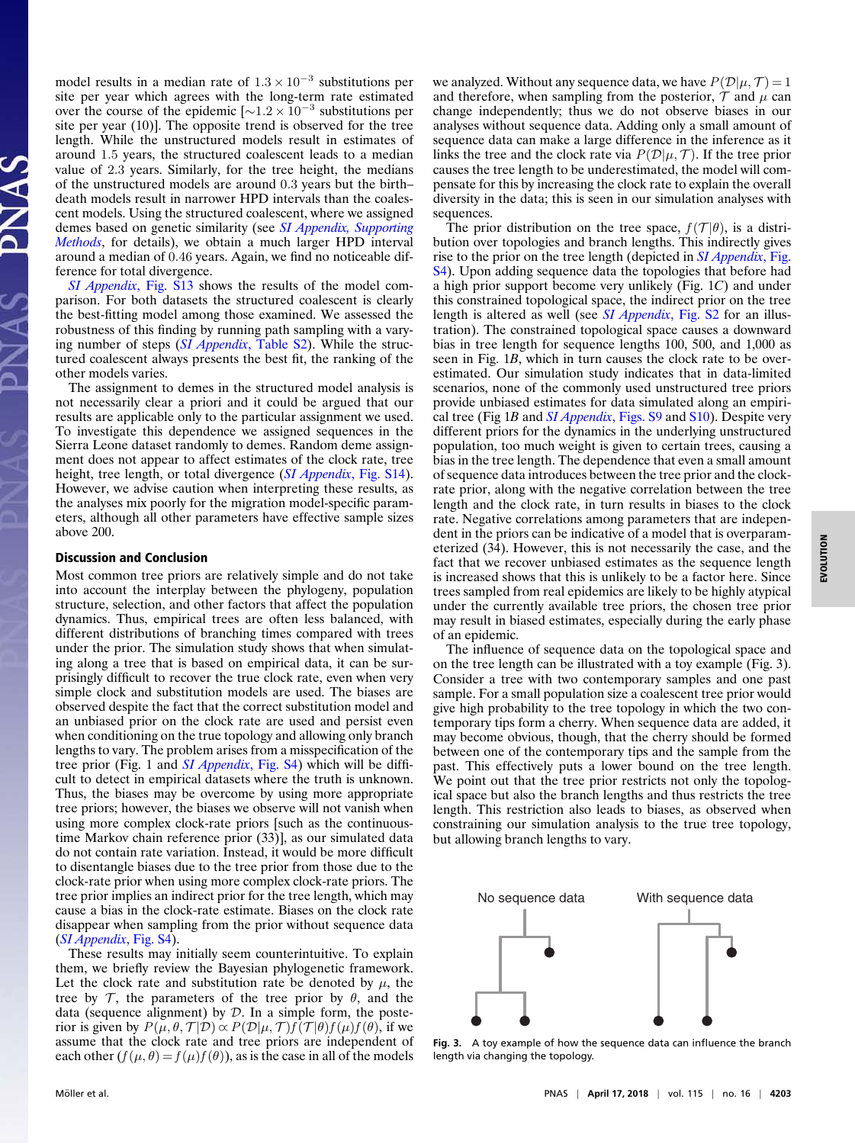model results in a median rate of  $1.3 \times 10^{-3}$  substitutions per site per year which agrees with the long-term rate estimated over the course of the epidemic  $[~\sim 1.2 \times 10^{-3}$  substitutions per site per year (10)]. The opposite trend is observed for the tree length. While the unstructured models result in estimates of around 1.5 years, the structured coalescent leads to a median value of 2.3 years. Similarly, for the tree height, the medians of the unstructured models are around 0.3 years but the birth– death models result in narrower HPD intervals than the coalescent models. Using the structured coalescent, where we assigned demes based on genetic similarity (see *[SI Appendix, Supporting](http://www.pnas.org/lookup/suppl/doi:10.1073/pnas.1713314115/-/DCSupplemental) [Methods](http://www.pnas.org/lookup/suppl/doi:10.1073/pnas.1713314115/-/DCSupplemental)*, for details), we obtain a much larger HPD interval around a median of 0.46 years. Again, we find no noticeable difference for total divergence.

*[SI Appendix](http://www.pnas.org/lookup/suppl/doi:10.1073/pnas.1713314115/-/DCSupplemental)*, Fig. S13 shows the results of the model comparison. For both datasets the structured coalescent is clearly the best-fitting model among those examined. We assessed the robustness of this finding by running path sampling with a varying number of steps (*[SI Appendix](http://www.pnas.org/lookup/suppl/doi:10.1073/pnas.1713314115/-/DCSupplemental)*, Table S2). While the structured coalescent always presents the best fit, the ranking of the other models varies.

The assignment to demes in the structured model analysis is not necessarily clear a priori and it could be argued that our results are applicable only to the particular assignment we used. To investigate this dependence we assigned sequences in the Sierra Leone dataset randomly to demes. Random deme assignment does not appear to affect estimates of the clock rate, tree height, tree length, or total divergence (*[SI Appendix](http://www.pnas.org/lookup/suppl/doi:10.1073/pnas.1713314115/-/DCSupplemental)*, Fig. S14). However, we advise caution when interpreting these results, as the analyses mix poorly for the migration model-specific parameters, although all other parameters have effective sample sizes above 200.

#### Discussion and Conclusion

Most common tree priors are relatively simple and do not take into account the interplay between the phylogeny, population structure, selection, and other factors that affect the population dynamics. Thus, empirical trees are often less balanced, with different distributions of branching times compared with trees under the prior. The simulation study shows that when simulating along a tree that is based on empirical data, it can be surprisingly difficult to recover the true clock rate, even when very simple clock and substitution models are used. The biases are observed despite the fact that the correct substitution model and an unbiased prior on the clock rate are used and persist even when conditioning on the true topology and allowing only branch lengths to vary. The problem arises from a misspecification of the tree prior (Fig. 1 and *[SI Appendix](http://www.pnas.org/lookup/suppl/doi:10.1073/pnas.1713314115/-/DCSupplemental)*, Fig. S4) which will be difficult to detect in empirical datasets where the truth is unknown. Thus, the biases may be overcome by using more appropriate tree priors; however, the biases we observe will not vanish when using more complex clock-rate priors [such as the continuoustime Markov chain reference prior (33)], as our simulated data do not contain rate variation. Instead, it would be more difficult to disentangle biases due to the tree prior from those due to the clock-rate prior when using more complex clock-rate priors. The tree prior implies an indirect prior for the tree length, which may cause a bias in the clock-rate estimate. Biases on the clock rate disappear when sampling from the prior without sequence data (*[SI Appendix](http://www.pnas.org/lookup/suppl/doi:10.1073/pnas.1713314115/-/DCSupplemental)*, Fig. S4).

These results may initially seem counterintuitive. To explain them, we briefly review the Bayesian phylogenetic framework. Let the clock rate and substitution rate be denoted by  $\mu$ , the tree by T, the parameters of the tree prior by  $\theta$ , and the data (sequence alignment) by  $D$ . In a simple form, the posterior is given by  $P(\mu, \theta, \mathcal{T} | \mathcal{D}) \propto P(\mathcal{D} | \mu, \mathcal{T}) f(\mathcal{T} | \theta) f(\mu) f(\theta)$ , if we assume that the clock rate and tree priors are independent of each other  $(f(\mu, \theta) = f(\mu)f(\theta))$ , as is the case in all of the models

we analyzed. Without any sequence data, we have  $P(D|\mu, \mathcal{T}) = 1$ and therefore, when sampling from the posterior,  $\mathcal T$  and  $\mu$  can change independently; thus we do not observe biases in our analyses without sequence data. Adding only a small amount of sequence data can make a large difference in the inference as it links the tree and the clock rate via  $P(\mathcal{D}|\mu, \mathcal{T})$ . If the tree prior causes the tree length to be underestimated, the model will compensate for this by increasing the clock rate to explain the overall diversity in the data; this is seen in our simulation analyses with sequences.

The prior distribution on the tree space,  $f(\mathcal{T}|\theta)$ , is a distribution over topologies and branch lengths. This indirectly gives rise to the prior on the tree length (depicted in *[SI Appendix](http://www.pnas.org/lookup/suppl/doi:10.1073/pnas.1713314115/-/DCSupplemental)*, Fig. [S4\)](http://www.pnas.org/lookup/suppl/doi:10.1073/pnas.1713314115/-/DCSupplemental). Upon adding sequence data the topologies that before had a high prior support become very unlikely (Fig. 1*C*) and under this constrained topological space, the indirect prior on the tree length is altered as well (see *[SI Appendix](http://www.pnas.org/lookup/suppl/doi:10.1073/pnas.1713314115/-/DCSupplemental)*, Fig. S2 for an illustration). The constrained topological space causes a downward bias in tree length for sequence lengths 100, 500, and 1,000 as seen in Fig. 1*B*, which in turn causes the clock rate to be overestimated. Our simulation study indicates that in data-limited scenarios, none of the commonly used unstructured tree priors provide unbiased estimates for data simulated along an empirical tree (Fig 1*B* and *[SI Appendix](http://www.pnas.org/lookup/suppl/doi:10.1073/pnas.1713314115/-/DCSupplemental)*, Figs. S9 and [S10\)](http://www.pnas.org/lookup/suppl/doi:10.1073/pnas.1713314115/-/DCSupplemental). Despite very different priors for the dynamics in the underlying unstructured population, too much weight is given to certain trees, causing a bias in the tree length. The dependence that even a small amount of sequence data introduces between the tree prior and the clockrate prior, along with the negative correlation between the tree length and the clock rate, in turn results in biases to the clock rate. Negative correlations among parameters that are independent in the priors can be indicative of a model that is overparameterized (34). However, this is not necessarily the case, and the fact that we recover unbiased estimates as the sequence length is increased shows that this is unlikely to be a factor here. Since trees sampled from real epidemics are likely to be highly atypical under the currently available tree priors, the chosen tree prior may result in biased estimates, especially during the early phase of an epidemic.

The influence of sequence data on the topological space and on the tree length can be illustrated with a toy example (Fig. 3). Consider a tree with two contemporary samples and one past sample. For a small population size a coalescent tree prior would give high probability to the tree topology in which the two contemporary tips form a cherry. When sequence data are added, it may become obvious, though, that the cherry should be formed between one of the contemporary tips and the sample from the past. This effectively puts a lower bound on the tree length. We point out that the tree prior restricts not only the topological space but also the branch lengths and thus restricts the tree length. This restriction also leads to biases, as observed when constraining our simulation analysis to the true tree topology, but allowing branch lengths to vary.



**Fig. 3.** A toy example of how the sequence data can influence the branch length via changing the topology.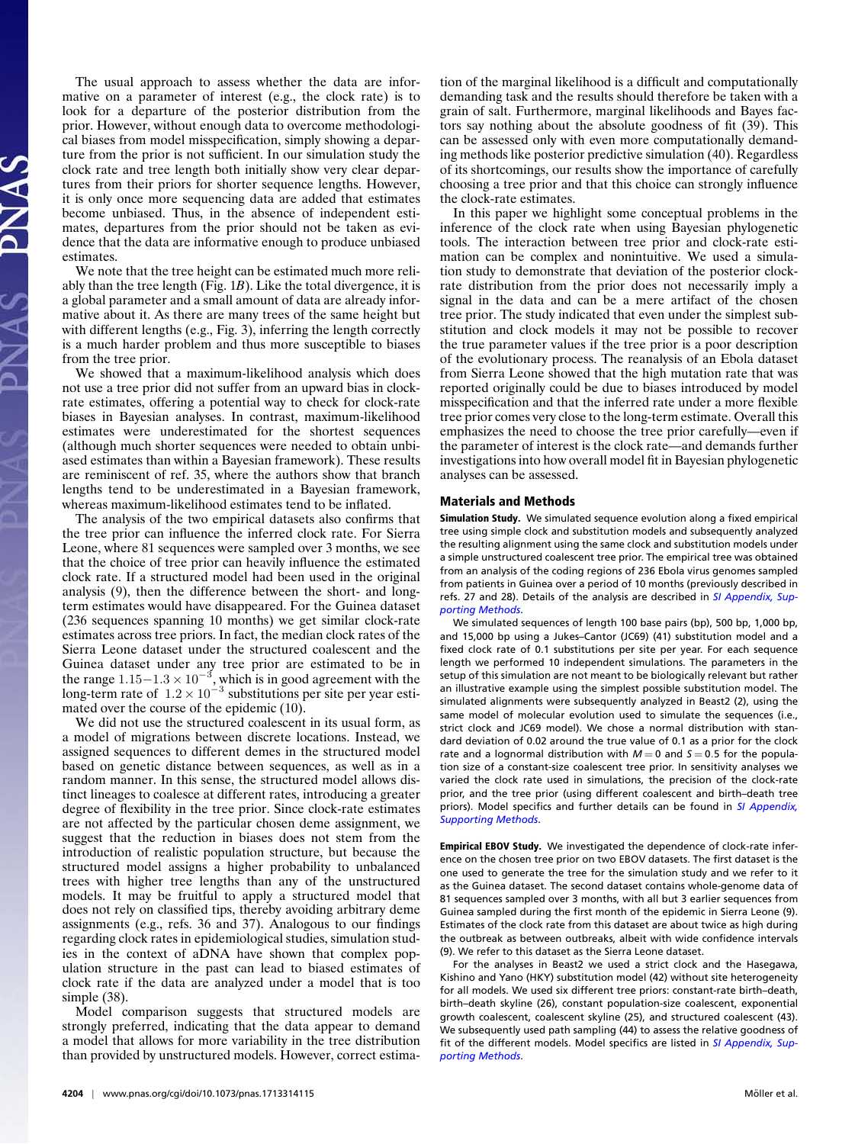The usual approach to assess whether the data are informative on a parameter of interest (e.g., the clock rate) is to look for a departure of the posterior distribution from the prior. However, without enough data to overcome methodological biases from model misspecification, simply showing a departure from the prior is not sufficient. In our simulation study the clock rate and tree length both initially show very clear departures from their priors for shorter sequence lengths. However, it is only once more sequencing data are added that estimates become unbiased. Thus, in the absence of independent estimates, departures from the prior should not be taken as evidence that the data are informative enough to produce unbiased estimates.

We note that the tree height can be estimated much more reliably than the tree length (Fig. 1*B*). Like the total divergence, it is a global parameter and a small amount of data are already informative about it. As there are many trees of the same height but with different lengths (e.g., Fig. 3), inferring the length correctly is a much harder problem and thus more susceptible to biases from the tree prior.

We showed that a maximum-likelihood analysis which does not use a tree prior did not suffer from an upward bias in clockrate estimates, offering a potential way to check for clock-rate biases in Bayesian analyses. In contrast, maximum-likelihood estimates were underestimated for the shortest sequences (although much shorter sequences were needed to obtain unbiased estimates than within a Bayesian framework). These results are reminiscent of ref. 35, where the authors show that branch lengths tend to be underestimated in a Bayesian framework, whereas maximum-likelihood estimates tend to be inflated.

The analysis of the two empirical datasets also confirms that the tree prior can influence the inferred clock rate. For Sierra Leone, where 81 sequences were sampled over 3 months, we see that the choice of tree prior can heavily influence the estimated clock rate. If a structured model had been used in the original analysis (9), then the difference between the short- and longterm estimates would have disappeared. For the Guinea dataset (236 sequences spanning 10 months) we get similar clock-rate estimates across tree priors. In fact, the median clock rates of the Sierra Leone dataset under the structured coalescent and the Guinea dataset under any tree prior are estimated to be in the range  $1.15-1.3 \times 10^{-3}$ , which is in good agreement with the long-term rate of  $1.2 \times 10^{-3}$  substitutions per site per year estimated over the course of the epidemic (10).

We did not use the structured coalescent in its usual form, as a model of migrations between discrete locations. Instead, we assigned sequences to different demes in the structured model based on genetic distance between sequences, as well as in a random manner. In this sense, the structured model allows distinct lineages to coalesce at different rates, introducing a greater degree of flexibility in the tree prior. Since clock-rate estimates are not affected by the particular chosen deme assignment, we suggest that the reduction in biases does not stem from the introduction of realistic population structure, but because the structured model assigns a higher probability to unbalanced trees with higher tree lengths than any of the unstructured models. It may be fruitful to apply a structured model that does not rely on classified tips, thereby avoiding arbitrary deme assignments (e.g., refs. 36 and 37). Analogous to our findings regarding clock rates in epidemiological studies, simulation studies in the context of aDNA have shown that complex population structure in the past can lead to biased estimates of clock rate if the data are analyzed under a model that is too simple (38).

Model comparison suggests that structured models are strongly preferred, indicating that the data appear to demand a model that allows for more variability in the tree distribution than provided by unstructured models. However, correct estimation of the marginal likelihood is a difficult and computationally demanding task and the results should therefore be taken with a grain of salt. Furthermore, marginal likelihoods and Bayes factors say nothing about the absolute goodness of fit (39). This can be assessed only with even more computationally demanding methods like posterior predictive simulation (40). Regardless of its shortcomings, our results show the importance of carefully choosing a tree prior and that this choice can strongly influence the clock-rate estimates.

In this paper we highlight some conceptual problems in the inference of the clock rate when using Bayesian phylogenetic tools. The interaction between tree prior and clock-rate estimation can be complex and nonintuitive. We used a simulation study to demonstrate that deviation of the posterior clockrate distribution from the prior does not necessarily imply a signal in the data and can be a mere artifact of the chosen tree prior. The study indicated that even under the simplest substitution and clock models it may not be possible to recover the true parameter values if the tree prior is a poor description of the evolutionary process. The reanalysis of an Ebola dataset from Sierra Leone showed that the high mutation rate that was reported originally could be due to biases introduced by model misspecification and that the inferred rate under a more flexible tree prior comes very close to the long-term estimate. Overall this emphasizes the need to choose the tree prior carefully—even if the parameter of interest is the clock rate—and demands further investigations into how overall model fit in Bayesian phylogenetic analyses can be assessed.

#### Materials and Methods

Simulation Study. We simulated sequence evolution along a fixed empirical tree using simple clock and substitution models and subsequently analyzed the resulting alignment using the same clock and substitution models under a simple unstructured coalescent tree prior. The empirical tree was obtained from an analysis of the coding regions of 236 Ebola virus genomes sampled from patients in Guinea over a period of 10 months (previously described in refs. 27 and 28). Details of the analysis are described in *[SI Appendix, Sup](http://www.pnas.org/lookup/suppl/doi:10.1073/pnas.1713314115/-/DCSupplemental)[porting Methods](http://www.pnas.org/lookup/suppl/doi:10.1073/pnas.1713314115/-/DCSupplemental)*.

We simulated sequences of length 100 base pairs (bp), 500 bp, 1,000 bp, and 15,000 bp using a Jukes–Cantor (JC69) (41) substitution model and a fixed clock rate of 0.1 substitutions per site per year. For each sequence length we performed 10 independent simulations. The parameters in the setup of this simulation are not meant to be biologically relevant but rather an illustrative example using the simplest possible substitution model. The simulated alignments were subsequently analyzed in Beast2 (2), using the same model of molecular evolution used to simulate the sequences (i.e., strict clock and JC69 model). We chose a normal distribution with standard deviation of 0.02 around the true value of 0.1 as a prior for the clock rate and a lognormal distribution with  $M = 0$  and  $S = 0.5$  for the population size of a constant-size coalescent tree prior. In sensitivity analyses we varied the clock rate used in simulations, the precision of the clock-rate prior, and the tree prior (using different coalescent and birth–death tree priors). Model specifics and further details can be found in *[SI Appendix,](http://www.pnas.org/lookup/suppl/doi:10.1073/pnas.1713314115/-/DCSupplemental) [Supporting Methods](http://www.pnas.org/lookup/suppl/doi:10.1073/pnas.1713314115/-/DCSupplemental)*.

Empirical EBOV Study. We investigated the dependence of clock-rate inference on the chosen tree prior on two EBOV datasets. The first dataset is the one used to generate the tree for the simulation study and we refer to it as the Guinea dataset. The second dataset contains whole-genome data of 81 sequences sampled over 3 months, with all but 3 earlier sequences from Guinea sampled during the first month of the epidemic in Sierra Leone (9). Estimates of the clock rate from this dataset are about twice as high during the outbreak as between outbreaks, albeit with wide confidence intervals (9). We refer to this dataset as the Sierra Leone dataset.

For the analyses in Beast2 we used a strict clock and the Hasegawa, Kishino and Yano (HKY) substitution model (42) without site heterogeneity for all models. We used six different tree priors: constant-rate birth–death, birth–death skyline (26), constant population-size coalescent, exponential growth coalescent, coalescent skyline (25), and structured coalescent (43). We subsequently used path sampling (44) to assess the relative goodness of fit of the different models. Model specifics are listed in *[SI Appendix, Sup](http://www.pnas.org/lookup/suppl/doi:10.1073/pnas.1713314115/-/DCSupplemental)[porting Methods](http://www.pnas.org/lookup/suppl/doi:10.1073/pnas.1713314115/-/DCSupplemental)*.